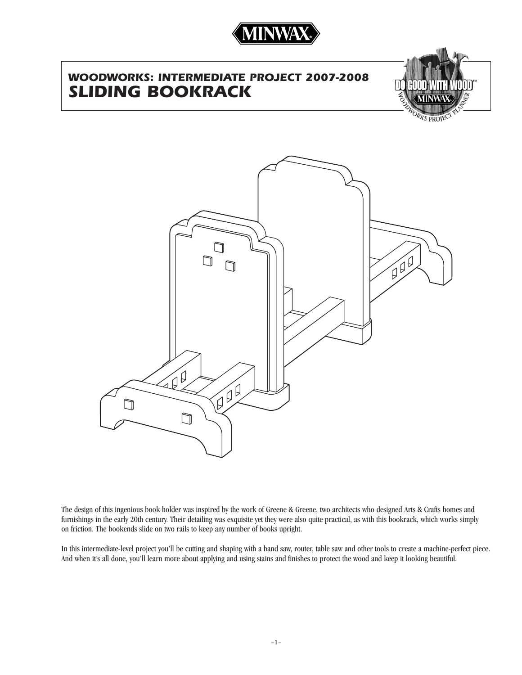

# *WOODWORKS: INTERMEDIATE PROJECT 2007-2008 SLIDING BOOKRACK*





The design of this ingenious book holder was inspired by the work of Greene & Greene, two architects who designed Arts & Crafts homes and furnishings in the early 20th century. Their detailing was exquisite yet they were also quite practical, as with this bookrack, which works simply on friction. The bookends slide on two rails to keep any number of books upright.

In this intermediate-level project you'll be cutting and shaping with a band saw, router, table saw and other tools to create a machine-perfect piece. And when it's all done, you'll learn more about applying and using stains and finishes to protect the wood and keep it looking beautiful.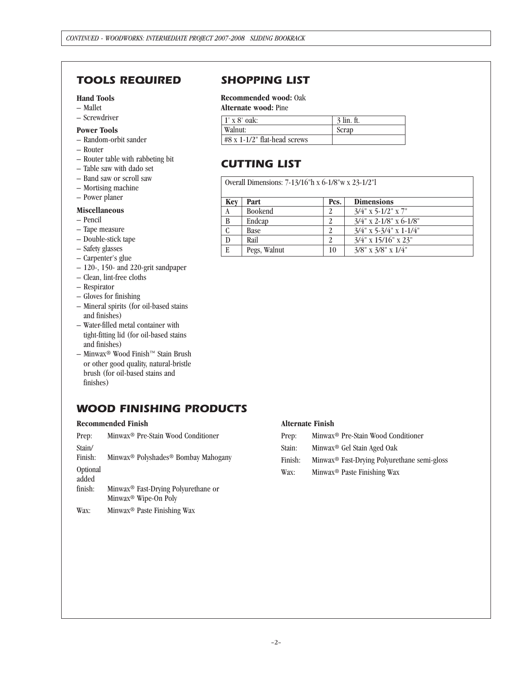# *TOOLS REQUIRED SHOPPING LIST*

#### **Hand Tools**

- Mallet
- Screwdriver

#### **Power Tools**

- Random-orbit sander
- Router
- Router table with rabbeting bit
- Table saw with dado set
- Band saw or scroll saw
- Mortising machine
- Power planer

#### **Miscellaneous**

- Pencil
- Tape measure
- Double-stick tape
- Safety glasses
- Carpenter's glue
- 120-, 150- and 220-grit sandpaper
- Clean, lint-free cloths
- Respirator
- Gloves for finishing
- Mineral spirits (for oil-based stains and finishes)
- Water-filled metal container with tight-fitting lid (for oil-based stains and finishes)
- Minwax® Wood Finish™ Stain Brush or other good quality, natural-bristle brush (for oil-based stains and finishes)

# *WOOD FINISHING PRODUCTS*

#### **Recommended Finish**

| Prep:             | Minwax <sup>®</sup> Pre-Stain Wood Conditioner                                      |
|-------------------|-------------------------------------------------------------------------------------|
| Stain/<br>Finish: | Minwax <sup>®</sup> Polyshades <sup>®</sup> Bombay Mahogany                         |
| Optional<br>added |                                                                                     |
| finish:           | Minwax <sup>®</sup> Fast-Drying Polyurethane or<br>Minwax <sup>®</sup> Wipe-On Poly |

Wax: Minwax® Paste Finishing Wax

### **Recommended wood:** Oak

#### **Alternate wood:** Pine

| $1' \times 8'$ oak:                    | $3 \text{ lin. ft.}$ |
|----------------------------------------|----------------------|
| Walnut:                                | Scrap                |
| $#8 \times 1 - 1/2$ " flat-head screws |                      |

# *CUTTING LIST*

Overall Dimensions: 7-13/16"h x 6-1/8"w x 23-1/2"l

| Key          | Part           | Pcs. | <b>Dimensions</b>            |
|--------------|----------------|------|------------------------------|
| A            | <b>Bookend</b> |      | $3/4$ " x 5-1/2" x 7"        |
| B            | Endcap         |      | $3/4$ " x 2-1/8" x 6-1/8"    |
| $\mathbf C$  | Base           | າ    | $3/4$ " x 5-3/4" x 1-1/4"    |
| $\mathbf{D}$ | Rail           |      | $3/4$ " x $15/16$ " x $23$ " |
| E            | Pegs, Walnut   | 10   | $3/8$ " x $3/8$ " x $1/4$ "  |

#### **Alternate Finish**

- Prep: Minwax® Pre-Stain Wood Conditioner
- Stain: Minwax® Gel Stain Aged Oak
- Finish: Minwax® Fast-Drying Polyurethane semi-gloss
- Wax: Minwax® Paste Finishing Wax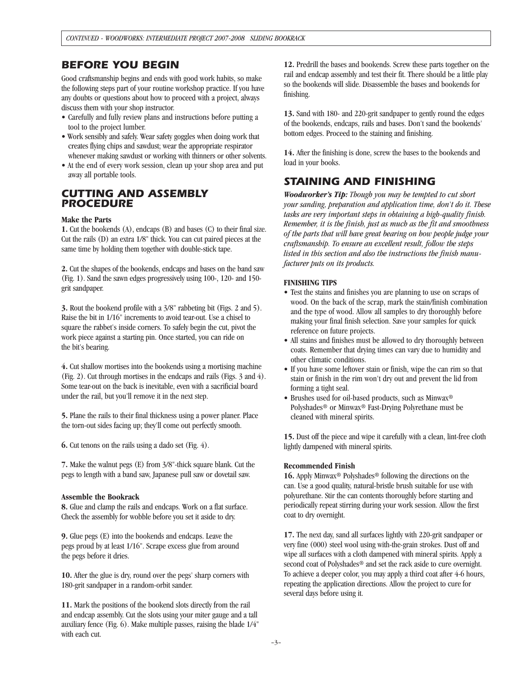### *BEFORE YOU BEGIN*

Good craftsmanship begins and ends with good work habits, so make the following steps part of your routine workshop practice. If you have any doubts or questions about how to proceed with a project, always discuss them with your shop instructor.

- Carefully and fully review plans and instructions before putting a tool to the project lumber.
- Work sensibly and safely. Wear safety goggles when doing work that creates flying chips and sawdust; wear the appropriate respirator whenever making sawdust or working with thinners or other solvents.
- At the end of every work session, clean up your shop area and put away all portable tools.

### *CUTTING AND ASSEMBLY PROCEDURE*

#### **Make the Parts**

**1.** Cut the bookends (A), endcaps (B) and bases (C) to their final size. Cut the rails (D) an extra 1/8" thick. You can cut paired pieces at the same time by holding them together with double-stick tape.

**2.** Cut the shapes of the bookends, endcaps and bases on the band saw (Fig. 1). Sand the sawn edges progressively using 100-, 120- and 150 grit sandpaper.

**3.** Rout the bookend profile with a 3/8" rabbeting bit (Figs. 2 and 5). Raise the bit in 1/16" increments to avoid tear-out. Use a chisel to square the rabbet's inside corners. To safely begin the cut, pivot the work piece against a starting pin. Once started, you can ride on the bit's bearing.

**4.** Cut shallow mortises into the bookends using a mortising machine (Fig. 2). Cut through mortises in the endcaps and rails (Figs. 3 and 4). Some tear-out on the back is inevitable, even with a sacrificial board under the rail, but you'll remove it in the next step.

**5.** Plane the rails to their final thickness using a power planer. Place the torn-out sides facing up; they'll come out perfectly smooth.

**6.** Cut tenons on the rails using a dado set (Fig. 4).

**7.** Make the walnut pegs (E) from 3/8"-thick square blank. Cut the pegs to length with a band saw, Japanese pull saw or dovetail saw.

#### **Assemble the Bookrack**

**8.** Glue and clamp the rails and endcaps. Work on a flat surface. Check the assembly for wobble before you set it aside to dry.

**9.** Glue pegs (E) into the bookends and endcaps. Leave the pegs proud by at least 1/16". Scrape excess glue from around the pegs before it dries.

**10.** After the glue is dry, round over the pegs' sharp corners with 180-grit sandpaper in a random-orbit sander.

**11.** Mark the positions of the bookend slots directly from the rail and endcap assembly. Cut the slots using your miter gauge and a tall auxiliary fence (Fig. 6). Make multiple passes, raising the blade 1/4" with each cut.

**12.** Predrill the bases and bookends. Screw these parts together on the rail and endcap assembly and test their fit. There should be a little play so the bookends will slide. Disassemble the bases and bookends for finishing.

**13.** Sand with 180- and 220-grit sandpaper to gently round the edges of the bookends, endcaps, rails and bases. Don't sand the bookends' bottom edges. Proceed to the staining and finishing.

**14.** After the finishing is done, screw the bases to the bookends and load in your books.

# *STAINING AND FINISHING*

*Woodworker's Tip: Though you may be tempted to cut short your sanding, preparation and application time, don't do it. These tasks are very important steps in obtaining a high-quality finish. Remember, it is the finish, just as much as the fit and smoothness of the parts that will have great bearing on how people judge your craftsmanship. To ensure an excellent result, follow the steps listed in this section and also the instructions the finish manufacturer puts on its products.*

#### **FINISHING TIPS**

- Test the stains and finishes you are planning to use on scraps of wood. On the back of the scrap, mark the stain/finish combination and the type of wood. Allow all samples to dry thoroughly before making your final finish selection. Save your samples for quick reference on future projects.
- All stains and finishes must be allowed to dry thoroughly between coats. Remember that drying times can vary due to humidity and other climatic conditions.
- If you have some leftover stain or finish, wipe the can rim so that stain or finish in the rim won't dry out and prevent the lid from forming a tight seal.
- Brushes used for oil-based products, such as Minwax® Polyshades® or Minwax® Fast-Drying Polyrethane must be cleaned with mineral spirits.

**15.** Dust off the piece and wipe it carefully with a clean, lint-free cloth lightly dampened with mineral spirits.

#### **Recommended Finish**

**16.** Apply Minwax® Polyshades® following the directions on the can. Use a good quality, natural-bristle brush suitable for use with polyurethane. Stir the can contents thoroughly before starting and periodically repeat stirring during your work session. Allow the first coat to dry overnight.

**17.** The next day, sand all surfaces lightly with 220-grit sandpaper or very fine (000) steel wool using with-the-grain strokes. Dust off and wipe all surfaces with a cloth dampened with mineral spirits. Apply a second coat of Polyshades<sup>®</sup> and set the rack aside to cure overnight. To achieve a deeper color, you may apply a third coat after 4-6 hours, repeating the application directions. Allow the project to cure for several days before using it.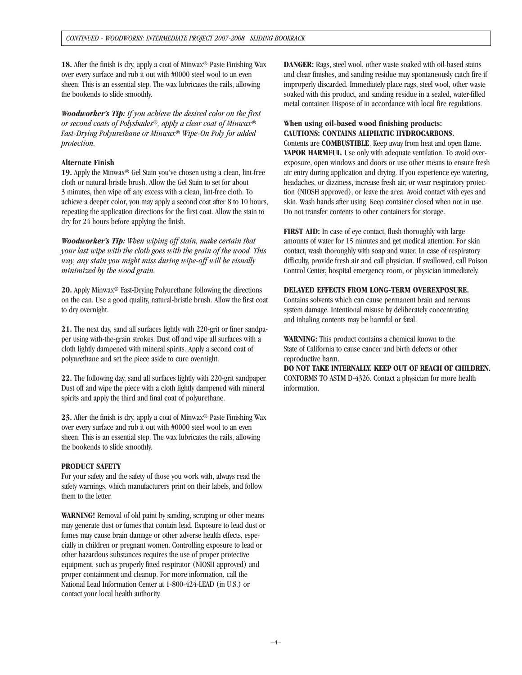18. After the finish is dry, apply a coat of Minwax<sup>®</sup> Paste Finishing Wax over every surface and rub it out with #0000 steel wool to an even sheen. This is an essential step. The wax lubricates the rails, allowing the bookends to slide smoothly.

*Woodworker's Tip: If you achieve the desired color on the first or second coats of Polyshades®, apply a clear coat of Minwax® Fast-Drying Polyurethane or Minwax® Wipe-On Poly for added protection.*

#### **Alternate Finish**

19. Apply the Minwax<sup>®</sup> Gel Stain you've chosen using a clean, lint-free cloth or natural-bristle brush. Allow the Gel Stain to set for about 3 minutes, then wipe off any excess with a clean, lint-free cloth. To achieve a deeper color, you may apply a second coat after 8 to 10 hours, repeating the application directions for the first coat. Allow the stain to dry for 24 hours before applying the finish.

*Woodworker's Tip: When wiping off stain, make certain that your last wipe with the cloth goes with the grain of the wood. This way, any stain you might miss during wipe-off will be visually minimized by the wood grain.*

**20.** Apply Minwax® Fast-Drying Polyurethane following the directions on the can. Use a good quality, natural-bristle brush. Allow the first coat to dry overnight.

**21.** The next day, sand all surfaces lightly with 220-grit or finer sandpaper using with-the-grain strokes. Dust off and wipe all surfaces with a cloth lightly dampened with mineral spirits. Apply a second coat of polyurethane and set the piece aside to cure overnight.

**22.** The following day, sand all surfaces lightly with 220-grit sandpaper. Dust off and wipe the piece with a cloth lightly dampened with mineral spirits and apply the third and final coat of polyurethane.

**23.** After the finish is dry, apply a coat of Minwax® Paste Finishing Wax over every surface and rub it out with #0000 steel wool to an even sheen. This is an essential step. The wax lubricates the rails, allowing the bookends to slide smoothly.

#### **PRODUCT SAFETY**

For your safety and the safety of those you work with, always read the safety warnings, which manufacturers print on their labels, and follow them to the letter.

**WARNING!** Removal of old paint by sanding, scraping or other means may generate dust or fumes that contain lead. Exposure to lead dust or fumes may cause brain damage or other adverse health effects, especially in children or pregnant women. Controlling exposure to lead or other hazardous substances requires the use of proper protective equipment, such as properly fitted respirator (NIOSH approved) and proper containment and cleanup. For more information, call the National Lead Information Center at 1-800-424-LEAD (in U.S.) or contact your local health authority.

**DANGER:** Rags, steel wool, other waste soaked with oil-based stains and clear finishes, and sanding residue may spontaneously catch fire if improperly discarded. Immediately place rags, steel wool, other waste soaked with this product, and sanding residue in a sealed, water-filled metal container. Dispose of in accordance with local fire regulations.

#### **When using oil-based wood finishing products: CAUTIONS: CONTAINS ALIPHATIC HYDROCARBONS.**

Contents are **COMBUSTIBLE**. Keep away from heat and open flame. **VAPOR HARMFUL**. Use only with adequate ventilation. To avoid overexposure, open windows and doors or use other means to ensure fresh air entry during application and drying. If you experience eye watering, headaches, or dizziness, increase fresh air, or wear respiratory protection (NIOSH approved), or leave the area. Avoid contact with eyes and skin. Wash hands after using. Keep container closed when not in use. Do not transfer contents to other containers for storage.

**FIRST AID:** In case of eye contact, flush thoroughly with large amounts of water for 15 minutes and get medical attention. For skin contact, wash thoroughly with soap and water. In case of respiratory difficulty, provide fresh air and call physician. If swallowed, call Poison Control Center, hospital emergency room, or physician immediately.

#### **DELAYED EFFECTS FROM LONG-TERM OVEREXPOSURE.**

Contains solvents which can cause permanent brain and nervous system damage. Intentional misuse by deliberately concentrating and inhaling contents may be harmful or fatal.

**WARNING:** This product contains a chemical known to the State of California to cause cancer and birth defects or other reproductive harm.

**DO NOT TAKE INTERNALLY. KEEP OUT OF REACH OF CHILDREN.**  CONFORMS TO ASTM D-4326. Contact a physician for more health information.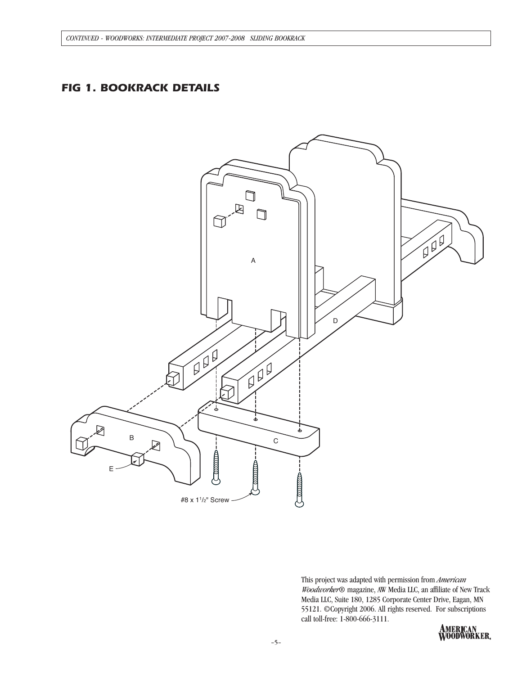# *FIG 1. BOOKRACK DETAILS*



This project was adapted with permission from *American Woodworker*® magazine, AW Media LLC, an affiliate of New Track Media LLC, Suite 180, 1285 Corporate Center Drive, Eagan, MN 55121. ©Copyright 2006. All rights reserved. For subscriptions call toll-free: 1-800-666-3111.

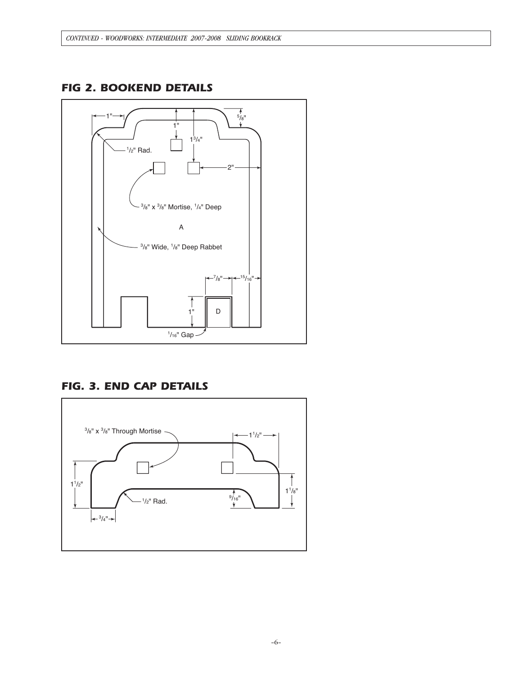

## *FIG 2. BOOKEND DETAILS*

# *FIG. 3. END CAP DETAILS*

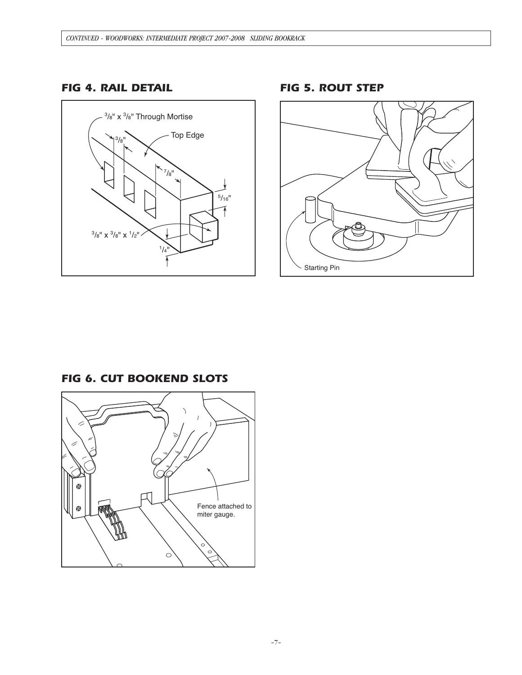# *FIG 4. RAIL DETAIL*



*FIG 5. ROUT STEP*



7 ⊕ Fence attached to ⊕ miter gauge. $\circ$ 

*FIG 6. CUT BOOKEND SLOTS*